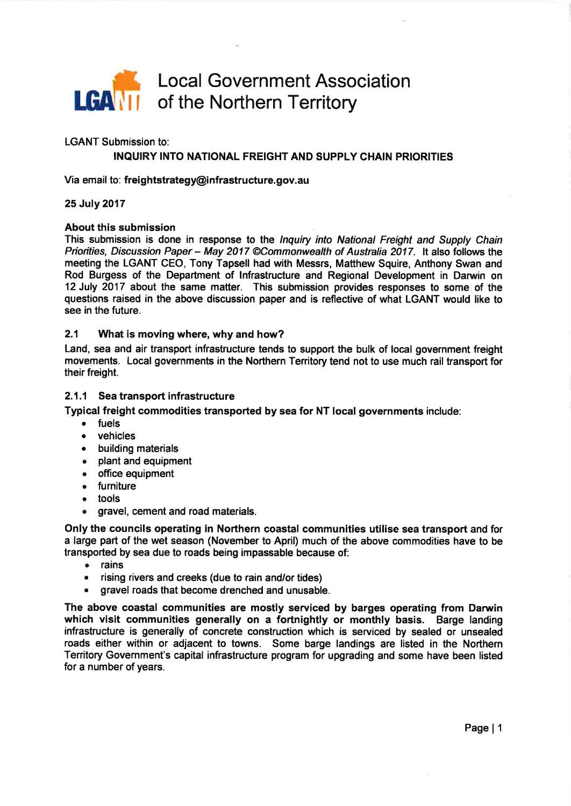

LGANT Submission to:

# INQUIRY INTO NATIONAL FREIGHT AND SUPPLY CHAIN PRIORITIES

Via email to: freightstrategy@infrastructure.gov.au

### 25 July 2017

#### About this submission

This submission is done in response to the *Inquiry into National Freight and Supply Chain* Priorities, Discussion Paper - May 2017 @Commonwealth of Australia 2017. It also follows the meeting the LGANT CEO, Tony Tapsell had with Messrs, Matthew Squire, Anthony Swan and Rod Burgess of the Department of lnfrastructure and Regional Development in Darwin on 12 July 2017 about the same matter. This submission provides responses to some of the questions raised in the above discussion paper and is reflective of what LGANT would like to see in the future.

#### 2.1 What is moving where, why and how?

Land, sea and air transport infrastructure tends to support the bulk of local government freight movements. Local governments in the Northern Tenitory tend not to use much rail transport for their freight.

#### 2,1.1 Sea transport infrastructure

Typical freight commodities transported by sea for NT local governments include:

- fuels
- vehicles
- . building materials
- o plant and equipment
- ¡ office equipment
- . furniture
- . tools
- **o gravel, cement and road materials.**

Only the councils operating in Northern coastal communities utilise sea transport and for a large part of the wet season (November to April) much of the above commodities have to be transported by sea due to roads being impassable because of:

- o rains
- . rising rivers and creeks (due to rain and/or tides)
- gravel roads that become drenched and unusable.

The above coastal communities are mostly serviced by barges operating from Darwin which visit communities generally on a fortnightly or monthly basis. Barge landing infrastructure is generally of concrete construction which is serviced by sealed or unsealed roads either within or adjacent to towns. Some barge landings are listed in the Northern Territory Government's capital infrastructure program for upgrading and some have been listed for a number of years.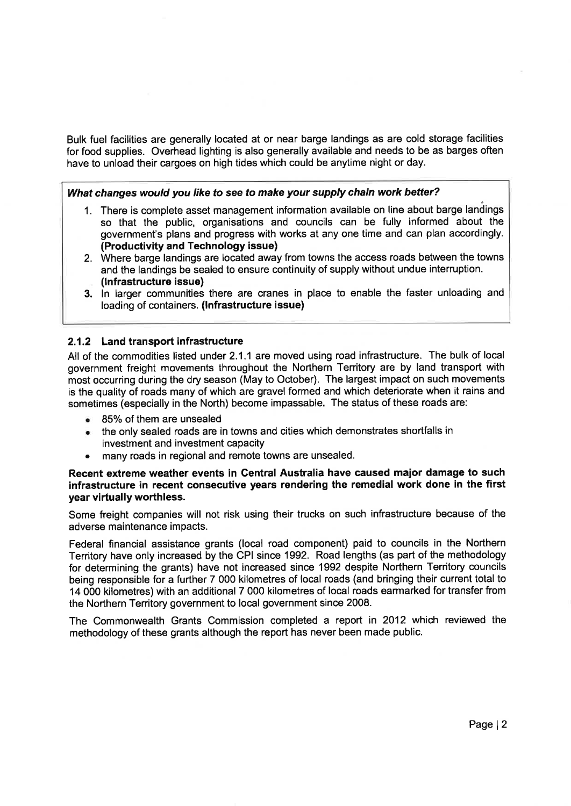Bulk fuel facilities are generally located at or near barge landings as are cold storage facilities for food supplies. Overhead lighting is also generally available and needs to be as barges often have to unload their cargoes on high tides which could be anytime night or day.

# What changes would you like fo see to make your supply chain work better?

- 1. There is complete asset management information available on line about barge landings so that the public, organisations and councils can be fully informed about the government's plans and progress with works at any one time and can plan accordingly. (Productivity and Technology issue)
- 2. Where barge landings are located away from towns the access roads between the towns and the landings be sealed to ensure continuity of supply without undue interruption. (lnfrastructure issue)
- 3. ln larger communities there are cranes in place to enable the faster unloading and loading of containers. (lnfrastructure issue)

## 2.1.2 Land transport infrastructure

All of the commodities listed under 2.1.1 are moved using road infrastructure. The bulk of local government freight movements throughout the Northern Territory are by land transport with most occurring during the dry season (May to October). The largest impact on such movements is the quality of roads many of which are gravel formed and which deteriorate when it rains and sometimes (especially in the North) become impassable. The status of these roads are:

- 85% of them are unsealed
- . the only sealed roads are in towns and cities which demonstrates shortfalls in investment and investment capacity
- . many roads in regional and remote towns are unsealed.

### Recent extreme weather events in Gentral Australia have caused major damage to such infrastructure in recent consecutive years rendering the remedial work done in the first year virtually worthless.

Some freight companies will not risk using their trucks on such infrastructure because of the adverse maintenance impacts.

Federal financial assistance grants (local road component) paid to councils in the Northern Territory have only increased by the CPI since 1992. Road lengths (as part of the methodology for determining the grants) have not increased since 1992 despite Northern Territory councils being responsible for a further 7 000 kilometres of local roads (and bringing their current total to 14 000 kilometres) with an additional 7 000 kilometres of local roads earmarked for transfer from the Northern Territory government to local government since 2008.

The Commonwealth Grants Commission completed a report in 2012 which reviewed the methodology of these grants although the report has never been made public.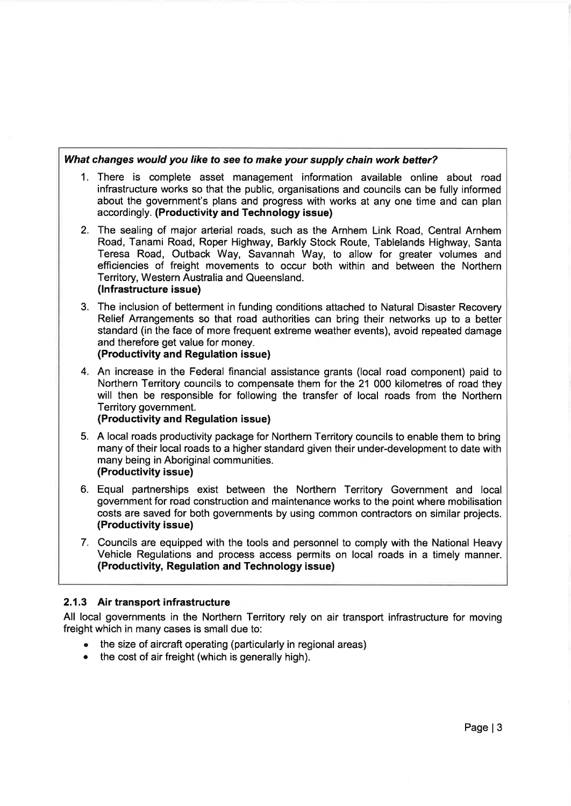# What changes would you like to see to make your supply chain work better?

- 1. There is complete asset management information available online about road infrastructure works so that the public, organisations and councils can be fully informed about the government's plans and progress with works at any one time and can plan accordingly. (Productivity and Technology issue)
- 2. The sealing of major arterial roads, such as the Arnhem Link Road, Central Arnhem Road, Tanami Road, Roper Highway, Barkly Stock Route, Tablelands Highway, Santa Teresa Road, Outback Way, Savannah Way, to allow for greater volumes and efficiencies of freight movements to occur both within and between the Northern Territory, Western Australia and Queensland. (lnfrastructure issue)
- 3. The inclusion of betterment in funding conditions attached to Natural Disaster Recovery Relief Arrangements so that road authorities can bring their networks up to a better standard (in the face of more frequent extreme weather events), avoid repeated damage and therefore get value for money. (Productivity and Regulation issue)
- 4. An increase in the Federal financial assistance grants (local road component) paid to Northern Territory councils to compensate them for the 21 000 kilometres of road they will then be responsible for following the transfer of local roads from the Northern Territory government.

# (Productivity and Regulation issue)

- 5. A local roads productivity package for Northern Territory councils to enable them to bring many of their local roads to a higher standard given their under-development to date with many being in Aboriginal communities. (Productivity issue)
- 6. Equal partnerships exist between the Northern Territory Government and local government for road construction and maintenance works to the point where mobilisation costs are saved for both governments by using common contractors on similar projects. (Productivity issue)
- 7. Councils are equipped with the tools and personnel to complywith the National Heavy Vehicle Regulations and process access permits on local roads in a timely manner. (Productivity, Regulation and Technology issue)

# 2,1.3 Air transport infrastructure

All local governments in the Northern Territory rely on air transport infrastructure for moving freight which in many cases is small due to:

- . the size of aircraft operating (particularly in regional areas)
- the cost of air freight (which is generally high).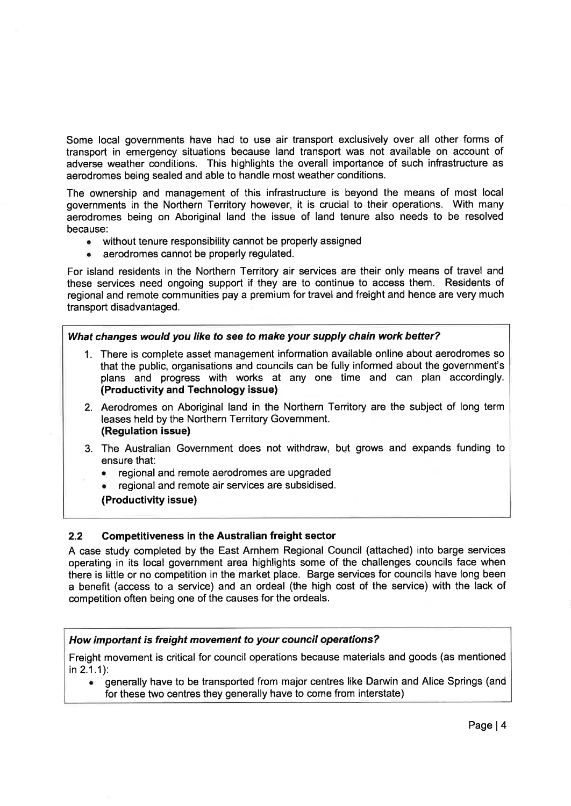Some local governments have had to use air transport exclusively over all other forms of transport in emergency situations because land transport was not available on account of adverse weather conditions. This highlights the overall importance of such infrastructure as aerodromes being sealed and able to handle most weather conditions.

The ownership and management of this infrastructure is beyond the means of most local governments in the Northern Territory however, it is crucial to their operations. With many aerodromes being on Aboriginal land the issue of land tenure also needs to be resolved because:

- without tenure responsibility cannot be properly assigned
- . aerodromes cannot be properly regulated.

For island residents in the Northern Territory air services are their only means of travel and these services need ongoing support if they are to continue to access them. Residents of regional and remote communities pay a premium for travel and freight and hence are very much transport disadvantaged.

### What changes would you like fo see to make your supply chain work better?

- 1. There is complete asset management information available online about aerodromes so that the public, organisations and councils can be fully informed about the government's plans and progress with works at any one time and can plan accordingly. (Productivity and Technology issue)
- 2. Aerodromes on Aboriginal land in the Northern Territory are the subject of long term leases held by the Northern Territory Government. (Regulation issue)
- 3. The Australian Government does not withdraw, but grows and expands funding to ensure that:
	- regional and remote aerodromes are upgraded
	- . regional and remote air services are subsidised.
	- (Productivity issue)

# 2.2 Competitiveness in the Australian freight sector

A case study completed by the East Arnhem Regional Council (attached) into barge services operating in its local government area highlights some of the challenges councils face when there is little or no competition in the market place. Barge services for councils have long been a benefit (access to a service) and an ordeal (the high cost of the service) with the lack of competition often being one of the causes for the ordeals.

### How important is freight movement to your council operations?

Freight movement is critical for council operations because materials and goods (as mentioned in 2.1.1):

**•** generally have to be transported from major centres like Darwin and Alice Springs (and for these two centres they generally have to come from interstate)